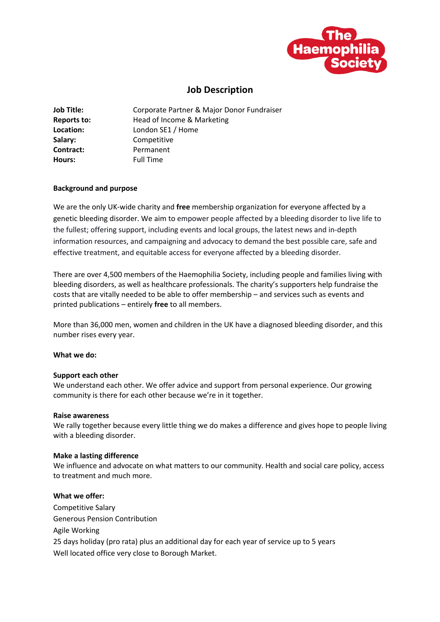

# **Job Description**

| <b>Job Title:</b>  | Corporate Partner & Major Donor Fundraiser |
|--------------------|--------------------------------------------|
| <b>Reports to:</b> | Head of Income & Marketing                 |
| Location:          | London SE1 / Home                          |
| Salary:            | Competitive                                |
| Contract:          | Permanent                                  |
| Hours:             | <b>Full Time</b>                           |

## **Background and purpose**

We are the only UK-wide charity and **free** membership organization for everyone affected by a genetic bleeding disorder. We aim to empower people affected by a bleeding disorder to live life to the fullest; offering support, including events and local groups, the latest news and in-depth information resources, and campaigning and advocacy to demand the best possible care, safe and effective treatment, and equitable access for everyone affected by a bleeding disorder.

There are over 4,500 members of the Haemophilia Society, including people and families living with bleeding disorders, as well as healthcare professionals. The charity's supporters help fundraise the costs that are vitally needed to be able to offer membership – and services such as events and printed publications – entirely **free** to all members.

More than 36,000 men, women and children in the UK have a diagnosed bleeding disorder, and this number rises every year.

## **What we do:**

## **Support each other**

We understand each other. We offer advice and support from personal experience. Our growing community is there for each other because we're in it together.

## **Raise awareness**

We rally together because every little thing we do makes a difference and gives hope to people living with a bleeding disorder.

## **Make a lasting difference**

We influence and advocate on what matters to our community. Health and social care policy, access to treatment and much more.

# **What we offer:**

Competitive Salary Generous Pension Contribution Agile Working 25 days holiday (pro rata) plus an additional day for each year of service up to 5 years Well located office very close to Borough Market.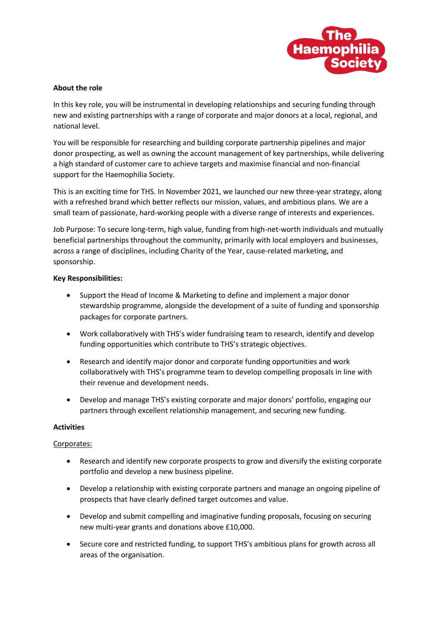

# **About the role**

In this key role, you will be instrumental in developing relationships and securing funding through new and existing partnerships with a range of corporate and major donors at a local, regional, and national level.

You will be responsible for researching and building corporate partnership pipelines and major donor prospecting, as well as owning the account management of key partnerships, while delivering a high standard of customer care to achieve targets and maximise financial and non-financial support for the Haemophilia Society.

This is an exciting time for THS. In November 2021, we launched our new three-year strategy, along with a refreshed brand which better reflects our mission, values, and ambitious plans. We are a small team of passionate, hard-working people with a diverse range of interests and experiences.

Job Purpose: To secure long-term, high value, funding from high-net-worth individuals and mutually beneficial partnerships throughout the community, primarily with local employers and businesses, across a range of disciplines, including Charity of the Year, cause-related marketing, and sponsorship.

## **Key Responsibilities:**

- Support the Head of Income & Marketing to define and implement a major donor stewardship programme, alongside the development of a suite of funding and sponsorship packages for corporate partners.
- Work collaboratively with THS's wider fundraising team to research, identify and develop funding opportunities which contribute to THS's strategic objectives.
- Research and identify major donor and corporate funding opportunities and work collaboratively with THS's programme team to develop compelling proposals in line with their revenue and development needs.
- Develop and manage THS's existing corporate and major donors' portfolio, engaging our partners through excellent relationship management, and securing new funding.

## **Activities**

# Corporates:

- Research and identify new corporate prospects to grow and diversify the existing corporate portfolio and develop a new business pipeline.
- Develop a relationship with existing corporate partners and manage an ongoing pipeline of prospects that have clearly defined target outcomes and value.
- Develop and submit compelling and imaginative funding proposals, focusing on securing new multi-year grants and donations above £10,000.
- Secure core and restricted funding, to support THS's ambitious plans for growth across all areas of the organisation.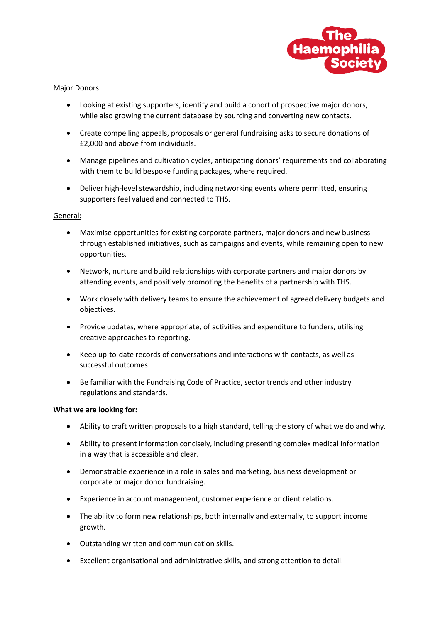

## Major Donors:

- Looking at existing supporters, identify and build a cohort of prospective major donors, while also growing the current database by sourcing and converting new contacts.
- Create compelling appeals, proposals or general fundraising asks to secure donations of £2,000 and above from individuals.
- Manage pipelines and cultivation cycles, anticipating donors' requirements and collaborating with them to build bespoke funding packages, where required.
- Deliver high-level stewardship, including networking events where permitted, ensuring supporters feel valued and connected to THS.

## General:

- Maximise opportunities for existing corporate partners, major donors and new business through established initiatives, such as campaigns and events, while remaining open to new opportunities.
- Network, nurture and build relationships with corporate partners and major donors by attending events, and positively promoting the benefits of a partnership with THS.
- Work closely with delivery teams to ensure the achievement of agreed delivery budgets and objectives.
- Provide updates, where appropriate, of activities and expenditure to funders, utilising creative approaches to reporting.
- Keep up-to-date records of conversations and interactions with contacts, as well as successful outcomes.
- Be familiar with the Fundraising Code of Practice, sector trends and other industry regulations and standards.

## **What we are looking for:**

- Ability to craft written proposals to a high standard, telling the story of what we do and why.
- Ability to present information concisely, including presenting complex medical information in a way that is accessible and clear.
- Demonstrable experience in a role in sales and marketing, business development or corporate or major donor fundraising.
- Experience in account management, customer experience or client relations.
- The ability to form new relationships, both internally and externally, to support income growth.
- Outstanding written and communication skills.
- Excellent organisational and administrative skills, and strong attention to detail.